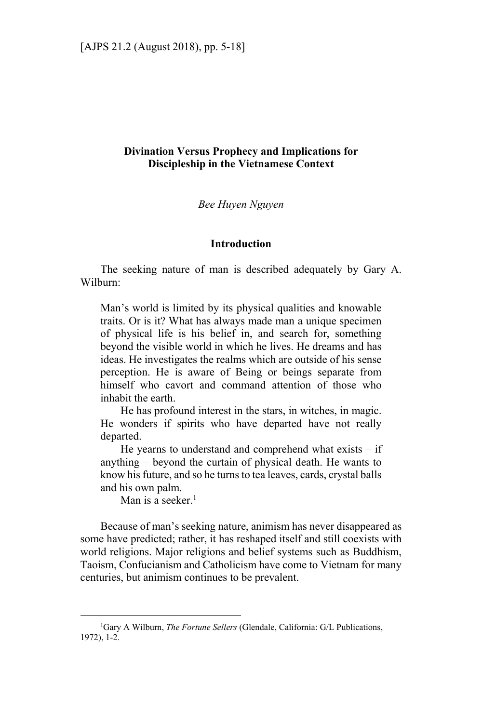## **Divination Versus Prophecy and Implications for Discipleship in the Vietnamese Context**

*Bee Huyen Nguyen*

#### **Introduction**

The seeking nature of man is described adequately by Gary A. Wilburn:

Man's world is limited by its physical qualities and knowable traits. Or is it? What has always made man a unique specimen of physical life is his belief in, and search for, something beyond the visible world in which he lives. He dreams and has ideas. He investigates the realms which are outside of his sense perception. He is aware of Being or beings separate from himself who cavort and command attention of those who inhabit the earth.

He has profound interest in the stars, in witches, in magic. He wonders if spirits who have departed have not really departed.

He yearns to understand and comprehend what exists  $-$  if anything – beyond the curtain of physical death. He wants to know his future, and so he turns to tea leaves, cards, crystal balls and his own palm.

Man is a seeker. $1$ 

 $\overline{a}$ 

Because of man's seeking nature, animism has never disappeared as some have predicted; rather, it has reshaped itself and still coexists with world religions. Major religions and belief systems such as Buddhism, Taoism, Confucianism and Catholicism have come to Vietnam for many centuries, but animism continues to be prevalent.

<sup>&</sup>lt;sup>1</sup>Gary A Wilburn, *The Fortune Sellers* (Glendale, California: G/L Publications, 1972), 1-2.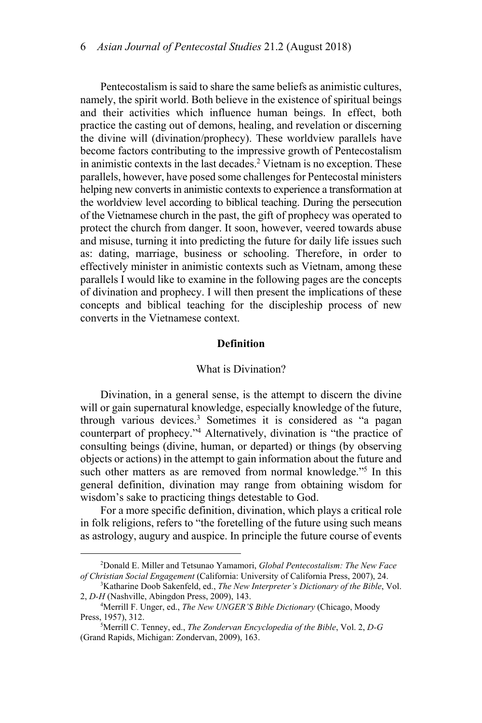Pentecostalism is said to share the same beliefs as animistic cultures, namely, the spirit world. Both believe in the existence of spiritual beings and their activities which influence human beings. In effect, both practice the casting out of demons, healing, and revelation or discerning the divine will (divination/prophecy). These worldview parallels have become factors contributing to the impressive growth of Pentecostalism in animistic contexts in the last decades.<sup>2</sup> Vietnam is no exception. These parallels, however, have posed some challenges for Pentecostal ministers helping new converts in animistic contexts to experience a transformation at the worldview level according to biblical teaching. During the persecution of the Vietnamese church in the past, the gift of prophecy was operated to protect the church from danger. It soon, however, veered towards abuse and misuse, turning it into predicting the future for daily life issues such as: dating, marriage, business or schooling. Therefore, in order to effectively minister in animistic contexts such as Vietnam, among these parallels I would like to examine in the following pages are the concepts of divination and prophecy. I will then present the implications of these concepts and biblical teaching for the discipleship process of new converts in the Vietnamese context.

#### **Definition**

#### What is Divination?

Divination, in a general sense, is the attempt to discern the divine will or gain supernatural knowledge, especially knowledge of the future, through various devices.<sup>3</sup> Sometimes it is considered as "a pagan counterpart of prophecy."4 Alternatively, divination is "the practice of consulting beings (divine, human, or departed) or things (by observing objects or actions) in the attempt to gain information about the future and such other matters as are removed from normal knowledge."<sup>5</sup> In this general definition, divination may range from obtaining wisdom for wisdom's sake to practicing things detestable to God.

For a more specific definition, divination, which plays a critical role in folk religions, refers to "the foretelling of the future using such means as astrology, augury and auspice. In principle the future course of events

<sup>2</sup> Donald E. Miller and Tetsunao Yamamori, *Global Pentecostalism: The New Face of Christian Social Engagement* (California: University of California Press, 2007), 24. 3

Katharine Doob Sakenfeld, ed., *The New Interpreter's Dictionary of the Bible*, Vol. 2, *D-H* (Nashville, Abingdon Press, 2009), 143. 4

Merrill F. Unger, ed., *The New UNGER'S Bible Dictionary* (Chicago, Moody Press, 1957), 312.

Merrill C. Tenney, ed., *The Zondervan Encyclopedia of the Bible*, Vol. 2, *D-G* (Grand Rapids, Michigan: Zondervan, 2009), 163.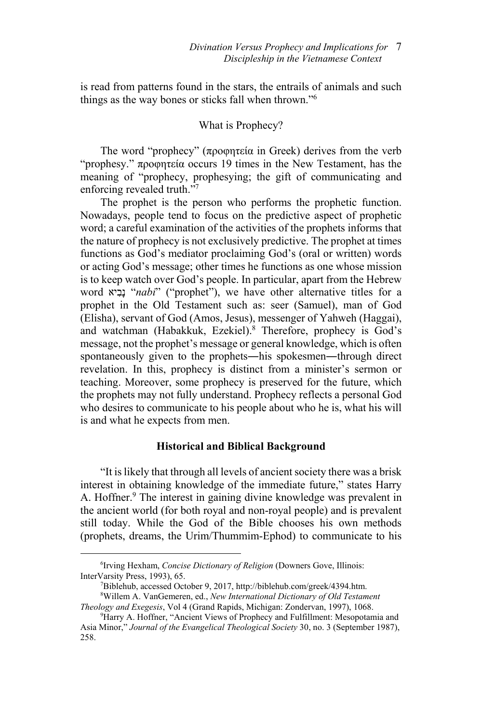is read from patterns found in the stars, the entrails of animals and such things as the way bones or sticks fall when thrown."6

### What is Prophecy?

The word "prophecy" (προφητεία in Greek) derives from the verb "prophesy." προφητεία occurs 19 times in the New Testament, has the meaning of "prophecy, prophesying; the gift of communicating and enforcing revealed truth."<sup>7</sup>

The prophet is the person who performs the prophetic function. Nowadays, people tend to focus on the predictive aspect of prophetic word; a careful examination of the activities of the prophets informs that the nature of prophecy is not exclusively predictive. The prophet at times functions as God's mediator proclaiming God's (oral or written) words or acting God's message; other times he functions as one whose mission is to keep watch over God's people. In particular, apart from the Hebrew word ביאִ נ " ָ *nabi*" ("prophet"), we have other alternative titles for a prophet in the Old Testament such as: seer (Samuel), man of God (Elisha), servant of God (Amos, Jesus), messenger of Yahweh (Haggai), and watchman (Habakkuk, Ezekiel).8 Therefore, prophecy is God's message, not the prophet's message or general knowledge, which is often spontaneously given to the prophets―his spokesmen―through direct revelation. In this, prophecy is distinct from a minister's sermon or teaching. Moreover, some prophecy is preserved for the future, which the prophets may not fully understand. Prophecy reflects a personal God who desires to communicate to his people about who he is, what his will is and what he expects from men.

### **Historical and Biblical Background**

"It is likely that through all levels of ancient society there was a brisk interest in obtaining knowledge of the immediate future," states Harry A. Hoffner.<sup>9</sup> The interest in gaining divine knowledge was prevalent in the ancient world (for both royal and non-royal people) and is prevalent still today. While the God of the Bible chooses his own methods (prophets, dreams, the Urim/Thummim-Ephod) to communicate to his

<sup>6</sup> Irving Hexham, *Concise Dictionary of Religion* (Downers Gove, Illinois: InterVarsity Press, 1993), 65. 7

<sup>&</sup>lt;sup>7</sup>Biblehub, accessed October 9, 2017, http://biblehub.com/greek/4394.htm.

Willem A. VanGemeren, ed., *New International Dictionary of Old Testament Theology and Exegesis*, Vol 4 (Grand Rapids, Michigan: Zondervan, 1997), 1068. 9

<sup>&</sup>lt;sup>9</sup>Harry A. Hoffner, "Ancient Views of Prophecy and Fulfillment: Mesopotamia and Asia Minor," *Journal of the Evangelical Theological Society* 30, no. 3 (September 1987), 258.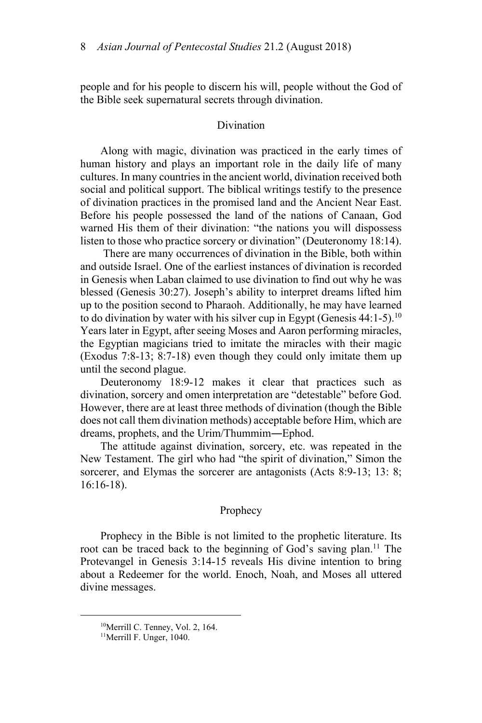people and for his people to discern his will, people without the God of the Bible seek supernatural secrets through divination.

### Divination

Along with magic, divination was practiced in the early times of human history and plays an important role in the daily life of many cultures. In many countries in the ancient world, divination received both social and political support. The biblical writings testify to the presence of divination practices in the promised land and the Ancient Near East. Before his people possessed the land of the nations of Canaan, God warned His them of their divination: "the nations you will dispossess listen to those who practice sorcery or divination" (Deuteronomy 18:14).

 There are many occurrences of divination in the Bible, both within and outside Israel. One of the earliest instances of divination is recorded in Genesis when Laban claimed to use divination to find out why he was blessed (Genesis 30:27). Joseph's ability to interpret dreams lifted him up to the position second to Pharaoh. Additionally, he may have learned to do divination by water with his silver cup in Egypt (Genesis  $44:1-5$ ).<sup>10</sup> Years later in Egypt, after seeing Moses and Aaron performing miracles, the Egyptian magicians tried to imitate the miracles with their magic (Exodus 7:8-13; 8:7-18) even though they could only imitate them up until the second plague.

Deuteronomy 18:9-12 makes it clear that practices such as divination, sorcery and omen interpretation are "detestable" before God. However, there are at least three methods of divination (though the Bible does not call them divination methods) acceptable before Him, which are dreams, prophets, and the Urim/Thummim―Ephod.

The attitude against divination, sorcery, etc. was repeated in the New Testament. The girl who had "the spirit of divination," Simon the sorcerer, and Elymas the sorcerer are antagonists (Acts 8:9-13; 13: 8; 16:16-18).

### Prophecy

Prophecy in the Bible is not limited to the prophetic literature. Its root can be traced back to the beginning of God's saving plan.<sup>11</sup> The Protevangel in Genesis 3:14-15 reveals His divine intention to bring about a Redeemer for the world. Enoch, Noah, and Moses all uttered divine messages.

<sup>&</sup>lt;sup>10</sup>Merrill C. Tenney, Vol. 2, 164.

<sup>&</sup>lt;sup>11</sup>Merrill F. Unger, 1040.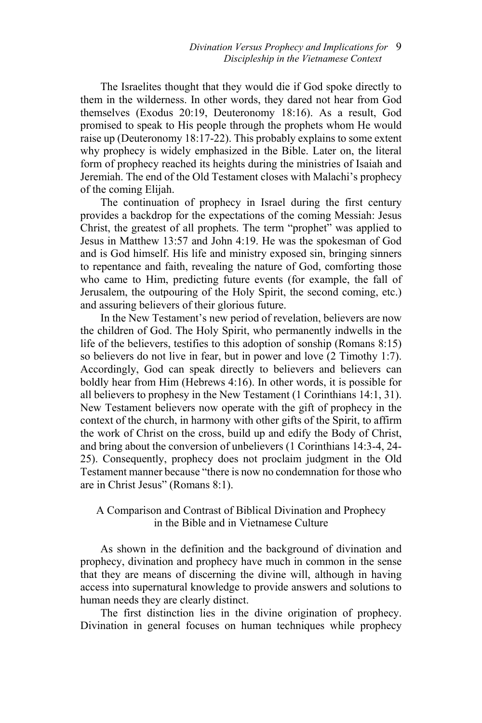The Israelites thought that they would die if God spoke directly to them in the wilderness. In other words, they dared not hear from God themselves (Exodus 20:19, Deuteronomy 18:16). As a result, God promised to speak to His people through the prophets whom He would raise up (Deuteronomy 18:17-22). This probably explains to some extent why prophecy is widely emphasized in the Bible. Later on, the literal form of prophecy reached its heights during the ministries of Isaiah and Jeremiah. The end of the Old Testament closes with Malachi's prophecy of the coming Elijah.

The continuation of prophecy in Israel during the first century provides a backdrop for the expectations of the coming Messiah: Jesus Christ, the greatest of all prophets. The term "prophet" was applied to Jesus in Matthew 13:57 and John 4:19. He was the spokesman of God and is God himself. His life and ministry exposed sin, bringing sinners to repentance and faith, revealing the nature of God, comforting those who came to Him, predicting future events (for example, the fall of Jerusalem, the outpouring of the Holy Spirit, the second coming, etc.) and assuring believers of their glorious future.

In the New Testament's new period of revelation, believers are now the children of God. The Holy Spirit, who permanently indwells in the life of the believers, testifies to this adoption of sonship (Romans 8:15) so believers do not live in fear, but in power and love (2 Timothy 1:7). Accordingly, God can speak directly to believers and believers can boldly hear from Him (Hebrews 4:16). In other words, it is possible for all believers to prophesy in the New Testament (1 Corinthians 14:1, 31). New Testament believers now operate with the gift of prophecy in the context of the church, in harmony with other gifts of the Spirit, to affirm the work of Christ on the cross, build up and edify the Body of Christ, and bring about the conversion of unbelievers (1 Corinthians 14:3-4, 24- 25). Consequently, prophecy does not proclaim judgment in the Old Testament manner because "there is now no condemnation for those who are in Christ Jesus" (Romans 8:1).

# A Comparison and Contrast of Biblical Divination and Prophecy in the Bible and in Vietnamese Culture

As shown in the definition and the background of divination and prophecy, divination and prophecy have much in common in the sense that they are means of discerning the divine will, although in having access into supernatural knowledge to provide answers and solutions to human needs they are clearly distinct.

The first distinction lies in the divine origination of prophecy. Divination in general focuses on human techniques while prophecy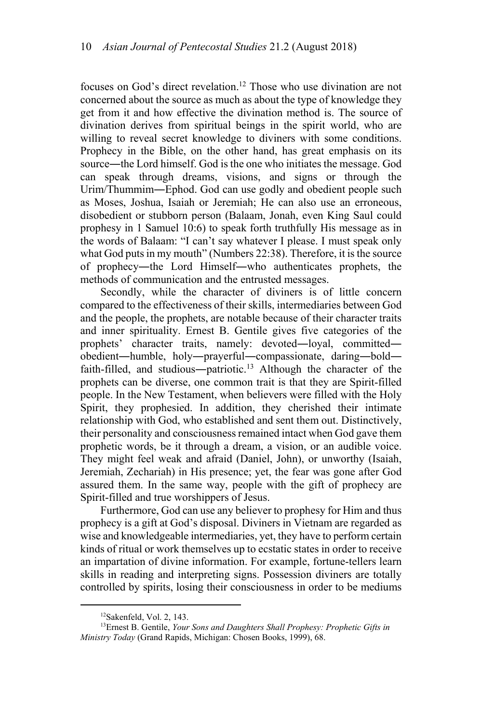focuses on God's direct revelation.<sup>12</sup> Those who use divination are not concerned about the source as much as about the type of knowledge they get from it and how effective the divination method is. The source of divination derives from spiritual beings in the spirit world, who are willing to reveal secret knowledge to diviners with some conditions. Prophecy in the Bible, on the other hand, has great emphasis on its source―the Lord himself. God is the one who initiates the message. God can speak through dreams, visions, and signs or through the Urim/Thummim―Ephod. God can use godly and obedient people such as Moses, Joshua, Isaiah or Jeremiah; He can also use an erroneous, disobedient or stubborn person (Balaam, Jonah, even King Saul could prophesy in 1 Samuel 10:6) to speak forth truthfully His message as in the words of Balaam: "I can't say whatever I please. I must speak only what God puts in my mouth" (Numbers 22:38). Therefore, it is the source of prophecy―the Lord Himself―who authenticates prophets, the methods of communication and the entrusted messages.

Secondly, while the character of diviners is of little concern compared to the effectiveness of their skills, intermediaries between God and the people, the prophets, are notable because of their character traits and inner spirituality. Ernest B. Gentile gives five categories of the prophets' character traits, namely: devoted―loyal, committed― obedient―humble, holy―prayerful―compassionate, daring―bold― faith-filled, and studious—patriotic.<sup>13</sup> Although the character of the prophets can be diverse, one common trait is that they are Spirit-filled people. In the New Testament, when believers were filled with the Holy Spirit, they prophesied. In addition, they cherished their intimate relationship with God, who established and sent them out. Distinctively, their personality and consciousness remained intact when God gave them prophetic words, be it through a dream, a vision, or an audible voice. They might feel weak and afraid (Daniel, John), or unworthy (Isaiah, Jeremiah, Zechariah) in His presence; yet, the fear was gone after God assured them. In the same way, people with the gift of prophecy are Spirit-filled and true worshippers of Jesus.

Furthermore, God can use any believer to prophesy for Him and thus prophecy is a gift at God's disposal. Diviners in Vietnam are regarded as wise and knowledgeable intermediaries, yet, they have to perform certain kinds of ritual or work themselves up to ecstatic states in order to receive an impartation of divine information. For example, fortune-tellers learn skills in reading and interpreting signs. Possession diviners are totally controlled by spirits, losing their consciousness in order to be mediums

<sup>&</sup>lt;sup>12</sup>Sakenfeld, Vol. 2, 143.

<sup>13</sup>Ernest B. Gentile, *Your Sons and Daughters Shall Prophesy: Prophetic Gifts in Ministry Today* (Grand Rapids, Michigan: Chosen Books, 1999), 68.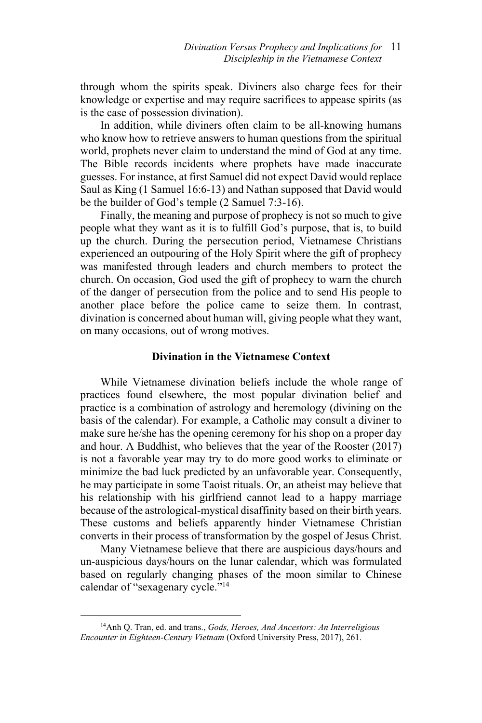through whom the spirits speak. Diviners also charge fees for their knowledge or expertise and may require sacrifices to appease spirits (as is the case of possession divination).

In addition, while diviners often claim to be all-knowing humans who know how to retrieve answers to human questions from the spiritual world, prophets never claim to understand the mind of God at any time. The Bible records incidents where prophets have made inaccurate guesses. For instance, at first Samuel did not expect David would replace Saul as King (1 Samuel 16:6-13) and Nathan supposed that David would be the builder of God's temple (2 Samuel 7:3-16).

Finally, the meaning and purpose of prophecy is not so much to give people what they want as it is to fulfill God's purpose, that is, to build up the church. During the persecution period, Vietnamese Christians experienced an outpouring of the Holy Spirit where the gift of prophecy was manifested through leaders and church members to protect the church. On occasion, God used the gift of prophecy to warn the church of the danger of persecution from the police and to send His people to another place before the police came to seize them. In contrast, divination is concerned about human will, giving people what they want, on many occasions, out of wrong motives.

# **Divination in the Vietnamese Context**

While Vietnamese divination beliefs include the whole range of practices found elsewhere, the most popular divination belief and practice is a combination of astrology and heremology (divining on the basis of the calendar). For example, a Catholic may consult a diviner to make sure he/she has the opening ceremony for his shop on a proper day and hour. A Buddhist, who believes that the year of the Rooster (2017) is not a favorable year may try to do more good works to eliminate or minimize the bad luck predicted by an unfavorable year. Consequently, he may participate in some Taoist rituals. Or, an atheist may believe that his relationship with his girlfriend cannot lead to a happy marriage because of the astrological-mystical disaffinity based on their birth years. These customs and beliefs apparently hinder Vietnamese Christian converts in their process of transformation by the gospel of Jesus Christ.

Many Vietnamese believe that there are auspicious days/hours and un-auspicious days/hours on the lunar calendar, which was formulated based on regularly changing phases of the moon similar to Chinese calendar of "sexagenary cycle."14

<sup>14</sup>Anh Q. Tran, ed. and trans., *Gods, Heroes, And Ancestors: An Interreligious Encounter in Eighteen-Century Vietnam* (Oxford University Press, 2017), 261.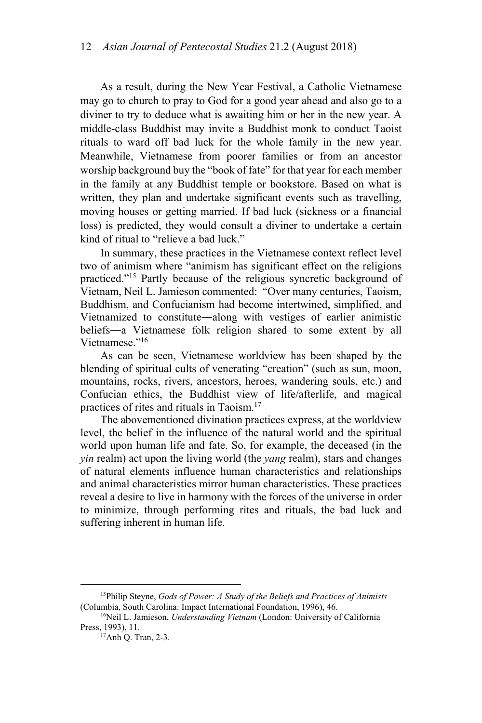As a result, during the New Year Festival, a Catholic Vietnamese may go to church to pray to God for a good year ahead and also go to a diviner to try to deduce what is awaiting him or her in the new year. A middle-class Buddhist may invite a Buddhist monk to conduct Taoist rituals to ward off bad luck for the whole family in the new year. Meanwhile, Vietnamese from poorer families or from an ancestor worship background buy the "book of fate" for that year for each member in the family at any Buddhist temple or bookstore. Based on what is written, they plan and undertake significant events such as travelling, moving houses or getting married. If bad luck (sickness or a financial loss) is predicted, they would consult a diviner to undertake a certain kind of ritual to "relieve a bad luck."

In summary, these practices in the Vietnamese context reflect level two of animism where "animism has significant effect on the religions practiced."15 Partly because of the religious syncretic background of Vietnam, Neil L. Jamieson commented: "Over many centuries, Taoism, Buddhism, and Confucianism had become intertwined, simplified, and Vietnamized to constitute―along with vestiges of earlier animistic beliefs―a Vietnamese folk religion shared to some extent by all Vietnamese."16

As can be seen, Vietnamese worldview has been shaped by the blending of spiritual cults of venerating "creation" (such as sun, moon, mountains, rocks, rivers, ancestors, heroes, wandering souls, etc.) and Confucian ethics, the Buddhist view of life/afterlife, and magical practices of rites and rituals in Taoism.17

The abovementioned divination practices express, at the worldview level, the belief in the influence of the natural world and the spiritual world upon human life and fate. So, for example, the deceased (in the *yin* realm) act upon the living world (the *yang* realm), stars and changes of natural elements influence human characteristics and relationships and animal characteristics mirror human characteristics. These practices reveal a desire to live in harmony with the forces of the universe in order to minimize, through performing rites and rituals, the bad luck and suffering inherent in human life.

<sup>15</sup>Philip Steyne, *Gods of Power: A Study of the Beliefs and Practices of Animists*  (Columbia, South Carolina: Impact International Foundation, 1996), 46. 16Neil L. Jamieson, *Understanding Vietnam* (London: University of California

Press, 1993), 11.<br><sup>17</sup>Anh O. Tran, 2-3.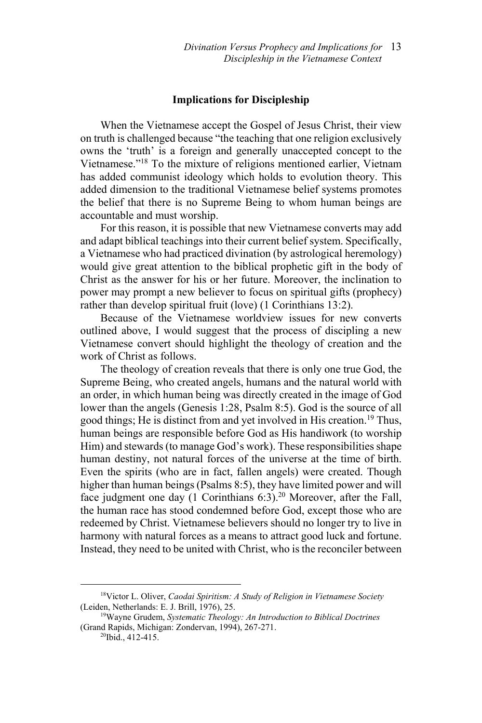### **Implications for Discipleship**

When the Vietnamese accept the Gospel of Jesus Christ, their view on truth is challenged because "the teaching that one religion exclusively owns the 'truth' is a foreign and generally unaccepted concept to the Vietnamese."18 To the mixture of religions mentioned earlier, Vietnam has added communist ideology which holds to evolution theory. This added dimension to the traditional Vietnamese belief systems promotes the belief that there is no Supreme Being to whom human beings are accountable and must worship.

For this reason, it is possible that new Vietnamese converts may add and adapt biblical teachings into their current belief system. Specifically, a Vietnamese who had practiced divination (by astrological heremology) would give great attention to the biblical prophetic gift in the body of Christ as the answer for his or her future. Moreover, the inclination to power may prompt a new believer to focus on spiritual gifts (prophecy) rather than develop spiritual fruit (love) (1 Corinthians 13:2).

Because of the Vietnamese worldview issues for new converts outlined above, I would suggest that the process of discipling a new Vietnamese convert should highlight the theology of creation and the work of Christ as follows.

The theology of creation reveals that there is only one true God, the Supreme Being, who created angels, humans and the natural world with an order, in which human being was directly created in the image of God lower than the angels (Genesis 1:28, Psalm 8:5). God is the source of all good things; He is distinct from and yet involved in His creation.<sup>19</sup> Thus, human beings are responsible before God as His handiwork (to worship Him) and stewards (to manage God's work). These responsibilities shape human destiny, not natural forces of the universe at the time of birth. Even the spirits (who are in fact, fallen angels) were created. Though higher than human beings (Psalms 8:5), they have limited power and will face judgment one day  $(1 \text{ Corinthians } 6:3)$ .<sup>20</sup> Moreover, after the Fall, the human race has stood condemned before God, except those who are redeemed by Christ. Vietnamese believers should no longer try to live in harmony with natural forces as a means to attract good luck and fortune. Instead, they need to be united with Christ, who is the reconciler between

<sup>18</sup>Victor L. Oliver, *Caodai Spiritism: A Study of Religion in Vietnamese Society*  (Leiden, Netherlands: E. J. Brill, 1976), 25.<br><sup>19</sup>Wayne Grudem, *Systematic Theology: An Introduction to Biblical Doctrines* 

<sup>(</sup>Grand Rapids, Michigan: Zondervan, 1994), 267-271. 20Ibid., 412-415.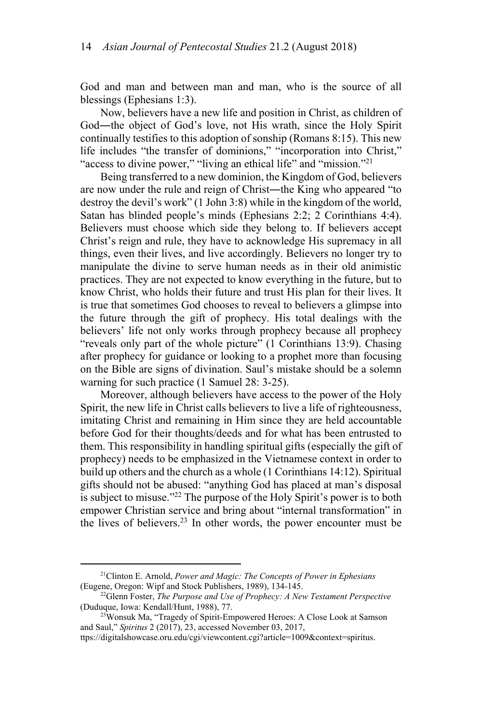God and man and between man and man, who is the source of all blessings (Ephesians 1:3).

Now, believers have a new life and position in Christ, as children of God―the object of God's love, not His wrath, since the Holy Spirit continually testifies to this adoption of sonship (Romans 8:15). This new life includes "the transfer of dominions," "incorporation into Christ," "access to divine power," "living an ethical life" and "mission."<sup>21</sup>

Being transferred to a new dominion, the Kingdom of God, believers are now under the rule and reign of Christ—the King who appeared "to destroy the devil's work" (1 John 3:8) while in the kingdom of the world, Satan has blinded people's minds (Ephesians 2:2; 2 Corinthians 4:4). Believers must choose which side they belong to. If believers accept Christ's reign and rule, they have to acknowledge His supremacy in all things, even their lives, and live accordingly. Believers no longer try to manipulate the divine to serve human needs as in their old animistic practices. They are not expected to know everything in the future, but to know Christ, who holds their future and trust His plan for their lives. It is true that sometimes God chooses to reveal to believers a glimpse into the future through the gift of prophecy. His total dealings with the believers' life not only works through prophecy because all prophecy "reveals only part of the whole picture" (1 Corinthians 13:9). Chasing after prophecy for guidance or looking to a prophet more than focusing on the Bible are signs of divination. Saul's mistake should be a solemn warning for such practice (1 Samuel 28: 3-25).

Moreover, although believers have access to the power of the Holy Spirit, the new life in Christ calls believers to live a life of righteousness, imitating Christ and remaining in Him since they are held accountable before God for their thoughts/deeds and for what has been entrusted to them. This responsibility in handling spiritual gifts (especially the gift of prophecy) needs to be emphasized in the Vietnamese context in order to build up others and the church as a whole (1 Corinthians 14:12). Spiritual gifts should not be abused: "anything God has placed at man's disposal is subject to misuse."22 The purpose of the Holy Spirit's power is to both empower Christian service and bring about "internal transformation" in the lives of believers.23 In other words, the power encounter must be

<sup>&</sup>lt;sup>21</sup>Clinton E. Arnold, *Power and Magic: The Concepts of Power in Ephesians* (Eugene, Oregon: Wipf and Stock Publishers, 1989), 134-145.

<sup>&</sup>lt;sup>22</sup>Glenn Foster, *The Purpose and Use of Prophecy: A New Testament Perspective* (Duduque, Iowa: Kendall/Hunt, 1988), 77.<br><sup>23</sup>Wonsuk Ma, "Tragedy of Spirit-Empowered Heroes: A Close Look at Samson

and Saul," *Spiritus* 2 (2017), 23, accessed November 03, 2017,

ttps://digitalshowcase.oru.edu/cgi/viewcontent.cgi?article=1009&context=spiritus.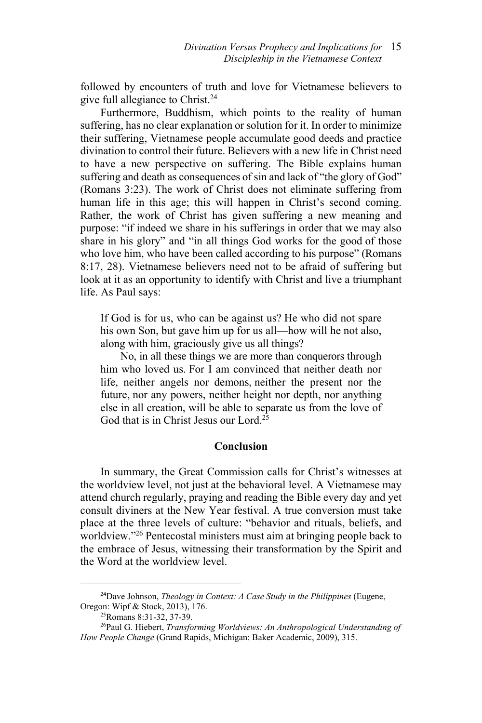followed by encounters of truth and love for Vietnamese believers to give full allegiance to Christ.24

Furthermore, Buddhism, which points to the reality of human suffering, has no clear explanation or solution for it. In order to minimize their suffering, Vietnamese people accumulate good deeds and practice divination to control their future. Believers with a new life in Christ need to have a new perspective on suffering. The Bible explains human suffering and death as consequences of sin and lack of "the glory of God" (Romans 3:23). The work of Christ does not eliminate suffering from human life in this age; this will happen in Christ's second coming. Rather, the work of Christ has given suffering a new meaning and purpose: "if indeed we share in his sufferings in order that we may also share in his glory" and "in all things God works for the good of those who love him, who have been called according to his purpose" (Romans 8:17, 28). Vietnamese believers need not to be afraid of suffering but look at it as an opportunity to identify with Christ and live a triumphant life. As Paul says:

If God is for us, who can be against us? He who did not spare his own Son, but gave him up for us all—how will he not also, along with him, graciously give us all things?

No, in all these things we are more than conquerors through him who loved us. For I am convinced that neither death nor life, neither angels nor demons, neither the present nor the future, nor any powers, neither height nor depth, nor anything else in all creation, will be able to separate us from the love of God that is in Christ Jesus our Lord.<sup>25</sup>

### **Conclusion**

In summary, the Great Commission calls for Christ's witnesses at the worldview level, not just at the behavioral level. A Vietnamese may attend church regularly, praying and reading the Bible every day and yet consult diviners at the New Year festival. A true conversion must take place at the three levels of culture: "behavior and rituals, beliefs, and worldview."<sup>26</sup> Pentecostal ministers must aim at bringing people back to the embrace of Jesus, witnessing their transformation by the Spirit and the Word at the worldview level.

<sup>&</sup>lt;sup>24</sup>Dave Johnson, *Theology in Context: A Case Study in the Philippines* (Eugene, Oregon: Wipf & Stock, 2013), 176.

<sup>25</sup>Romans 8:31-32, 37-39.

<sup>26</sup>Paul G. Hiebert, *Transforming Worldviews: An Anthropological Understanding of How People Change* (Grand Rapids, Michigan: Baker Academic, 2009), 315.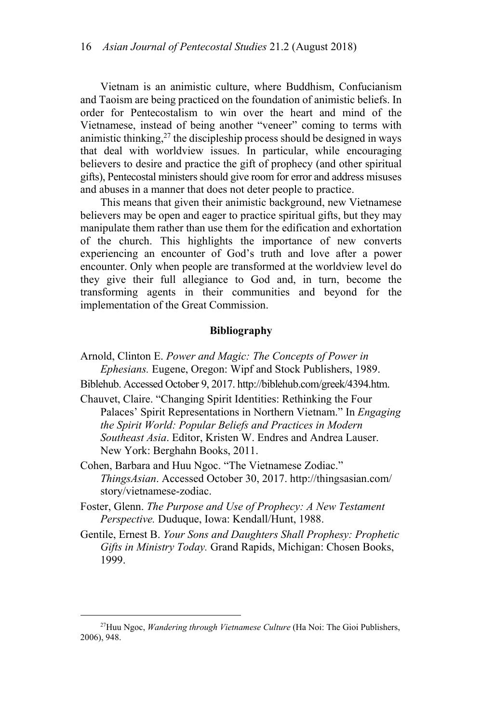Vietnam is an animistic culture, where Buddhism, Confucianism and Taoism are being practiced on the foundation of animistic beliefs. In order for Pentecostalism to win over the heart and mind of the Vietnamese, instead of being another "veneer" coming to terms with animistic thinking, $27$  the discipleship process should be designed in ways that deal with worldview issues. In particular, while encouraging believers to desire and practice the gift of prophecy (and other spiritual gifts), Pentecostal ministers should give room for error and address misuses and abuses in a manner that does not deter people to practice.

This means that given their animistic background, new Vietnamese believers may be open and eager to practice spiritual gifts, but they may manipulate them rather than use them for the edification and exhortation of the church. This highlights the importance of new converts experiencing an encounter of God's truth and love after a power encounter. Only when people are transformed at the worldview level do they give their full allegiance to God and, in turn, become the transforming agents in their communities and beyond for the implementation of the Great Commission.

#### **Bibliography**

- Arnold, Clinton E. *Power and Magic: The Concepts of Power in Ephesians.* Eugene, Oregon: Wipf and Stock Publishers, 1989.
- Biblehub. Accessed October 9, 2017. http://biblehub.com/greek/4394.htm.
- Chauvet, Claire. "Changing Spirit Identities: Rethinking the Four Palaces' Spirit Representations in Northern Vietnam." In *Engaging the Spirit World: Popular Beliefs and Practices in Modern Southeast Asia*. Editor, Kristen W. Endres and Andrea Lauser. New York: Berghahn Books, 2011.
- Cohen, Barbara and Huu Ngoc. "The Vietnamese Zodiac." *ThingsAsian*. Accessed October 30, 2017. http://thingsasian.com/ story/vietnamese-zodiac.
- Foster, Glenn. *The Purpose and Use of Prophecy: A New Testament Perspective.* Duduque, Iowa: Kendall/Hunt, 1988.
- Gentile, Ernest B. *Your Sons and Daughters Shall Prophesy: Prophetic Gifts in Ministry Today.* Grand Rapids, Michigan: Chosen Books, 1999.

<sup>&</sup>lt;sup>27</sup>Huu Ngoc, *Wandering through Vietnamese Culture* (Ha Noi: The Gioi Publishers, 2006), 948.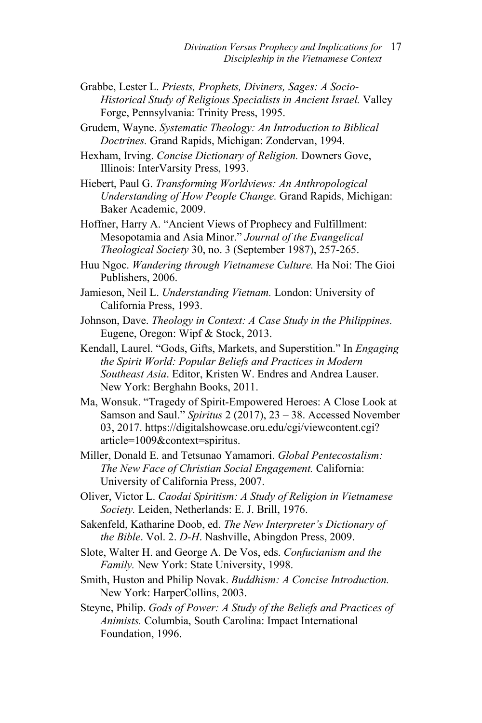- Grabbe, Lester L. *Priests, Prophets, Diviners, Sages: A Socio-Historical Study of Religious Specialists in Ancient Israel.* Valley Forge, Pennsylvania: Trinity Press, 1995.
- Grudem, Wayne. *Systematic Theology: An Introduction to Biblical Doctrines.* Grand Rapids, Michigan: Zondervan, 1994.
- Hexham, Irving. *Concise Dictionary of Religion.* Downers Gove, Illinois: InterVarsity Press, 1993.
- Hiebert, Paul G. *Transforming Worldviews: An Anthropological Understanding of How People Change.* Grand Rapids, Michigan: Baker Academic, 2009.
- Hoffner, Harry A. "Ancient Views of Prophecy and Fulfillment: Mesopotamia and Asia Minor." *Journal of the Evangelical Theological Society* 30, no. 3 (September 1987), 257-265.
- Huu Ngoc. *Wandering through Vietnamese Culture.* Ha Noi: The Gioi Publishers, 2006.
- Jamieson, Neil L. *Understanding Vietnam.* London: University of California Press, 1993.
- Johnson, Dave. *Theology in Context: A Case Study in the Philippines.*  Eugene, Oregon: Wipf & Stock, 2013.
- Kendall, Laurel. "Gods, Gifts, Markets, and Superstition." In *Engaging the Spirit World: Popular Beliefs and Practices in Modern Southeast Asia*. Editor, Kristen W. Endres and Andrea Lauser. New York: Berghahn Books, 2011.
- Ma, Wonsuk. "Tragedy of Spirit-Empowered Heroes: A Close Look at Samson and Saul." *Spiritus* 2 (2017), 23 – 38. Accessed November 03, 2017. https://digitalshowcase.oru.edu/cgi/viewcontent.cgi? article=1009&context=spiritus.
- Miller, Donald E. and Tetsunao Yamamori. *Global Pentecostalism: The New Face of Christian Social Engagement.* California: University of California Press, 2007.
- Oliver, Victor L. *Caodai Spiritism: A Study of Religion in Vietnamese Society.* Leiden, Netherlands: E. J. Brill, 1976.
- Sakenfeld, Katharine Doob, ed. *The New Interpreter's Dictionary of the Bible*. Vol. 2. *D-H*. Nashville, Abingdon Press, 2009.
- Slote, Walter H. and George A. De Vos, eds. *Confucianism and the Family.* New York: State University, 1998.
- Smith, Huston and Philip Novak. *Buddhism: A Concise Introduction.*  New York: HarperCollins, 2003.
- Steyne, Philip. *Gods of Power: A Study of the Beliefs and Practices of Animists.* Columbia, South Carolina: Impact International Foundation, 1996.